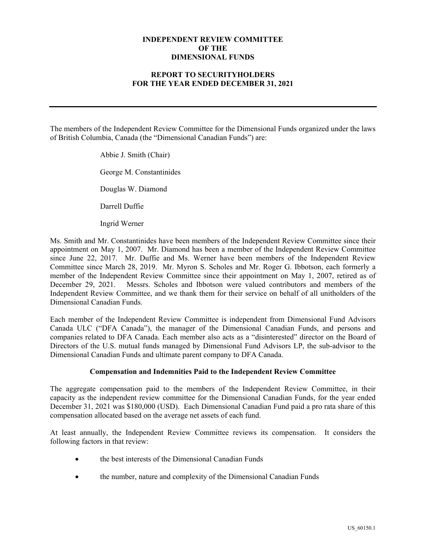## **INDEPENDENT REVIEW COMMITTEE OF THE DIMENSIONAL FUNDS**

## **REPORT TO SECURITYHOLDERS FOR THE YEAR ENDED DECEMBER 31, 2021**

The members of the Independent Review Committee for the Dimensional Funds organized under the laws of British Columbia, Canada (the "Dimensional Canadian Funds") are:

> Abbie J. Smith (Chair) George M. Constantinides Douglas W. Diamond Darrell Duffie

Ingrid Werner

Ms. Smith and Mr. Constantinides have been members of the Independent Review Committee since their appointment on May 1, 2007. Mr. Diamond has been a member of the Independent Review Committee since June 22, 2017. Mr. Duffie and Ms. Werner have been members of the Independent Review Committee since March 28, 2019. Mr. Myron S. Scholes and Mr. Roger G. Ibbotson, each formerly a member of the Independent Review Committee since their appointment on May 1, 2007, retired as of December 29, 2021. Messrs. Scholes and Ibbotson were valued contributors and members of the Independent Review Committee, and we thank them for their service on behalf of all unitholders of the Dimensional Canadian Funds.

Each member of the Independent Review Committee is independent from Dimensional Fund Advisors Canada ULC ("DFA Canada"), the manager of the Dimensional Canadian Funds, and persons and companies related to DFA Canada. Each member also acts as a "disinterested" director on the Board of Directors of the U.S. mutual funds managed by Dimensional Fund Advisors LP, the sub-advisor to the Dimensional Canadian Funds and ultimate parent company to DFA Canada.

#### **Compensation and Indemnities Paid to the Independent Review Committee**

The aggregate compensation paid to the members of the Independent Review Committee, in their capacity as the independent review committee for the Dimensional Canadian Funds, for the year ended December 31, 2021 was \$180,000 (USD). Each Dimensional Canadian Fund paid a pro rata share of this compensation allocated based on the average net assets of each fund.

At least annually, the Independent Review Committee reviews its compensation. It considers the following factors in that review:

- the best interests of the Dimensional Canadian Funds
- the number, nature and complexity of the Dimensional Canadian Funds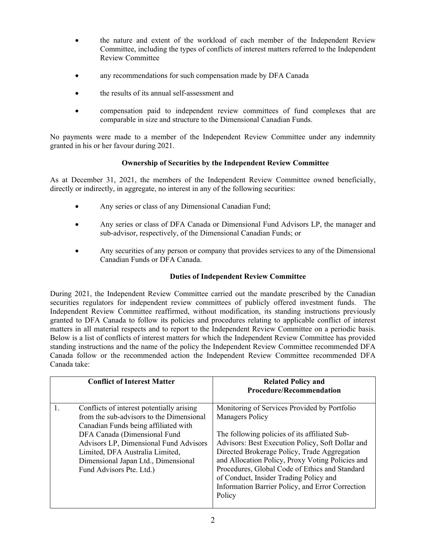- the nature and extent of the workload of each member of the Independent Review Committee, including the types of conflicts of interest matters referred to the Independent Review Committee
- any recommendations for such compensation made by DFA Canada
- the results of its annual self-assessment and
- compensation paid to independent review committees of fund complexes that are comparable in size and structure to the Dimensional Canadian Funds.

No payments were made to a member of the Independent Review Committee under any indemnity granted in his or her favour during 2021.

# **Ownership of Securities by the Independent Review Committee**

As at December 31, 2021, the members of the Independent Review Committee owned beneficially, directly or indirectly, in aggregate, no interest in any of the following securities:

- Any series or class of any Dimensional Canadian Fund;
- Any series or class of DFA Canada or Dimensional Fund Advisors LP, the manager and sub-advisor, respectively, of the Dimensional Canadian Funds; or
- Any securities of any person or company that provides services to any of the Dimensional Canadian Funds or DFA Canada.

### **Duties of Independent Review Committee**

During 2021, the Independent Review Committee carried out the mandate prescribed by the Canadian securities regulators for independent review committees of publicly offered investment funds. The Independent Review Committee reaffirmed, without modification, its standing instructions previously granted to DFA Canada to follow its policies and procedures relating to applicable conflict of interest matters in all material respects and to report to the Independent Review Committee on a periodic basis. Below is a list of conflicts of interest matters for which the Independent Review Committee has provided standing instructions and the name of the policy the Independent Review Committee recommended DFA Canada follow or the recommended action the Independent Review Committee recommended DFA Canada take:

| <b>Conflict of Interest Matter</b>                                                                                                                                                                                                                                                                            | <b>Related Policy and</b><br><b>Procedure/Recommendation</b>                                                                                                                                                                                                                                                                                                                                                                              |
|---------------------------------------------------------------------------------------------------------------------------------------------------------------------------------------------------------------------------------------------------------------------------------------------------------------|-------------------------------------------------------------------------------------------------------------------------------------------------------------------------------------------------------------------------------------------------------------------------------------------------------------------------------------------------------------------------------------------------------------------------------------------|
| Conflicts of interest potentially arising<br>from the sub-advisors to the Dimensional<br>Canadian Funds being affiliated with<br>DFA Canada (Dimensional Fund<br>Advisors LP, Dimensional Fund Advisors<br>Limited, DFA Australia Limited,<br>Dimensional Japan Ltd., Dimensional<br>Fund Advisors Pte. Ltd.) | Monitoring of Services Provided by Portfolio<br><b>Managers Policy</b><br>The following policies of its affiliated Sub-<br>Advisors: Best Execution Policy, Soft Dollar and<br>Directed Brokerage Policy, Trade Aggregation<br>and Allocation Policy, Proxy Voting Policies and<br>Procedures, Global Code of Ethics and Standard<br>of Conduct, Insider Trading Policy and<br>Information Barrier Policy, and Error Correction<br>Policy |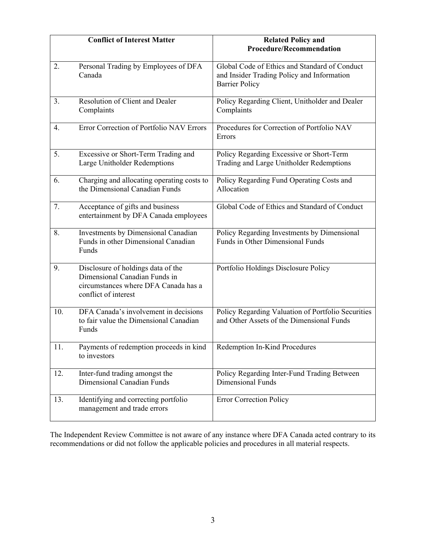|     | <b>Conflict of Interest Matter</b>                                                                                                  | <b>Related Policy and</b><br><b>Procedure/Recommendation</b>                                                         |
|-----|-------------------------------------------------------------------------------------------------------------------------------------|----------------------------------------------------------------------------------------------------------------------|
| 2.  | Personal Trading by Employees of DFA<br>Canada                                                                                      | Global Code of Ethics and Standard of Conduct<br>and Insider Trading Policy and Information<br><b>Barrier Policy</b> |
| 3.  | Resolution of Client and Dealer<br>Complaints                                                                                       | Policy Regarding Client, Unitholder and Dealer<br>Complaints                                                         |
| 4.  | Error Correction of Portfolio NAV Errors                                                                                            | Procedures for Correction of Portfolio NAV<br>Errors                                                                 |
| 5.  | Excessive or Short-Term Trading and<br>Large Unitholder Redemptions                                                                 | Policy Regarding Excessive or Short-Term<br>Trading and Large Unitholder Redemptions                                 |
| 6.  | Charging and allocating operating costs to<br>the Dimensional Canadian Funds                                                        | Policy Regarding Fund Operating Costs and<br>Allocation                                                              |
| 7.  | Acceptance of gifts and business<br>entertainment by DFA Canada employees                                                           | Global Code of Ethics and Standard of Conduct                                                                        |
| 8.  | Investments by Dimensional Canadian<br>Funds in other Dimensional Canadian<br>Funds                                                 | Policy Regarding Investments by Dimensional<br>Funds in Other Dimensional Funds                                      |
| 9.  | Disclosure of holdings data of the<br>Dimensional Canadian Funds in<br>circumstances where DFA Canada has a<br>conflict of interest | Portfolio Holdings Disclosure Policy                                                                                 |
| 10. | DFA Canada's involvement in decisions<br>to fair value the Dimensional Canadian<br>Funds                                            | Policy Regarding Valuation of Portfolio Securities<br>and Other Assets of the Dimensional Funds                      |
| 11. | Payments of redemption proceeds in kind<br>to investors                                                                             | Redemption In-Kind Procedures                                                                                        |
| 12. | Inter-fund trading amongst the<br>Dimensional Canadian Funds                                                                        | Policy Regarding Inter-Fund Trading Between<br><b>Dimensional Funds</b>                                              |
| 13. | Identifying and correcting portfolio<br>management and trade errors                                                                 | <b>Error Correction Policy</b>                                                                                       |

The Independent Review Committee is not aware of any instance where DFA Canada acted contrary to its recommendations or did not follow the applicable policies and procedures in all material respects.